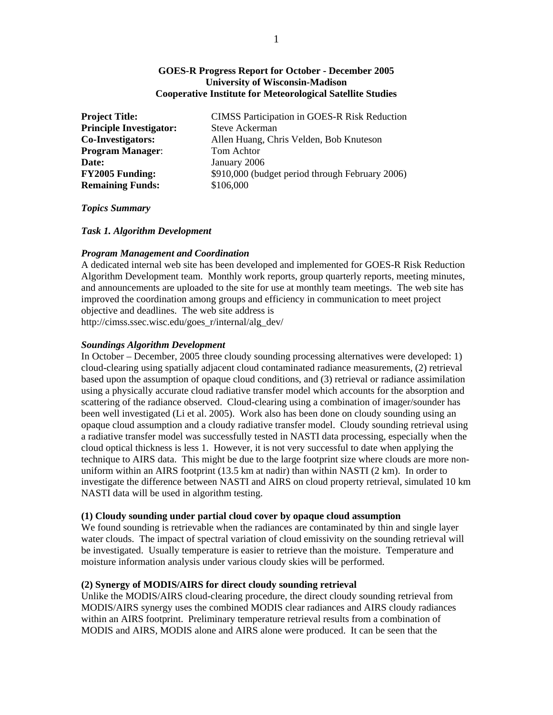### **GOES-R Progress Report for October - December 2005 University of Wisconsin-Madison Cooperative Institute for Meteorological Satellite Studies**

| <b>Project Title:</b>          | <b>CIMSS Participation in GOES-R Risk Reduction</b> |
|--------------------------------|-----------------------------------------------------|
| <b>Principle Investigator:</b> | Steve Ackerman                                      |
| Co-Investigators:              | Allen Huang, Chris Velden, Bob Knuteson             |
| <b>Program Manager:</b>        | Tom Achtor                                          |
| Date:                          | January 2006                                        |
| <b>FY2005 Funding:</b>         | \$910,000 (budget period through February 2006)     |
| <b>Remaining Funds:</b>        | \$106,000                                           |
|                                |                                                     |

### *Topics Summary*

*Task 1. Algorithm Development* 

## *Program Management and Coordination*

A dedicated internal web site has been developed and implemented for GOES-R Risk Reduction Algorithm Development team. Monthly work reports, group quarterly reports, meeting minutes, and announcements are uploaded to the site for use at monthly team meetings. The web site has improved the coordination among groups and efficiency in communication to meet project objective and deadlines. The web site address is http://cimss.ssec.wisc.edu/goes\_r/internal/alg\_dev/

### *Soundings Algorithm Development*

In October – December, 2005 three cloudy sounding processing alternatives were developed: 1) cloud-clearing using spatially adjacent cloud contaminated radiance measurements, (2) retrieval based upon the assumption of opaque cloud conditions, and (3) retrieval or radiance assimilation using a physically accurate cloud radiative transfer model which accounts for the absorption and scattering of the radiance observed. Cloud-clearing using a combination of imager/sounder has been well investigated (Li et al. 2005). Work also has been done on cloudy sounding using an opaque cloud assumption and a cloudy radiative transfer model. Cloudy sounding retrieval using a radiative transfer model was successfully tested in NASTI data processing, especially when the cloud optical thickness is less 1. However, it is not very successful to date when applying the technique to AIRS data. This might be due to the large footprint size where clouds are more nonuniform within an AIRS footprint (13.5 km at nadir) than within NASTI (2 km). In order to investigate the difference between NASTI and AIRS on cloud property retrieval, simulated 10 km NASTI data will be used in algorithm testing.

## **(1) Cloudy sounding under partial cloud cover by opaque cloud assumption**

We found sounding is retrievable when the radiances are contaminated by thin and single layer water clouds. The impact of spectral variation of cloud emissivity on the sounding retrieval will be investigated. Usually temperature is easier to retrieve than the moisture. Temperature and moisture information analysis under various cloudy skies will be performed.

## **(2) Synergy of MODIS/AIRS for direct cloudy sounding retrieval**

Unlike the MODIS/AIRS cloud-clearing procedure, the direct cloudy sounding retrieval from MODIS/AIRS synergy uses the combined MODIS clear radiances and AIRS cloudy radiances within an AIRS footprint. Preliminary temperature retrieval results from a combination of MODIS and AIRS, MODIS alone and AIRS alone were produced. It can be seen that the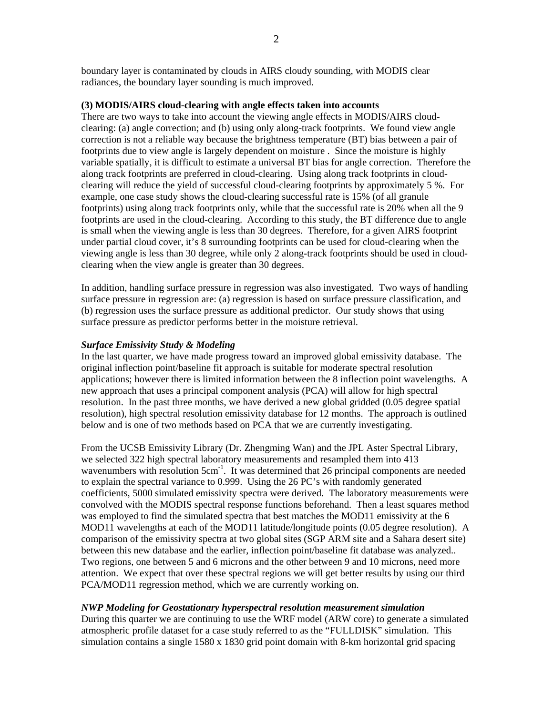boundary layer is contaminated by clouds in AIRS cloudy sounding, with MODIS clear radiances, the boundary layer sounding is much improved.

## **(3) MODIS/AIRS cloud-clearing with angle effects taken into accounts**

There are two ways to take into account the viewing angle effects in MODIS/AIRS cloudclearing: (a) angle correction; and (b) using only along-track footprints. We found view angle correction is not a reliable way because the brightness temperature (BT) bias between a pair of footprints due to view angle is largely dependent on moisture . Since the moisture is highly variable spatially, it is difficult to estimate a universal BT bias for angle correction. Therefore the along track footprints are preferred in cloud-clearing. Using along track footprints in cloudclearing will reduce the yield of successful cloud-clearing footprints by approximately 5 %. For example, one case study shows the cloud-clearing successful rate is 15% (of all granule footprints) using along track footprints only, while that the successful rate is 20% when all the 9 footprints are used in the cloud-clearing. According to this study, the BT difference due to angle is small when the viewing angle is less than 30 degrees. Therefore, for a given AIRS footprint under partial cloud cover, it's 8 surrounding footprints can be used for cloud-clearing when the viewing angle is less than 30 degree, while only 2 along-track footprints should be used in cloudclearing when the view angle is greater than 30 degrees.

In addition, handling surface pressure in regression was also investigated. Two ways of handling surface pressure in regression are: (a) regression is based on surface pressure classification, and (b) regression uses the surface pressure as additional predictor. Our study shows that using surface pressure as predictor performs better in the moisture retrieval.

## *Surface Emissivity Study & Modeling*

In the last quarter, we have made progress toward an improved global emissivity database. The original inflection point/baseline fit approach is suitable for moderate spectral resolution applications; however there is limited information between the 8 inflection point wavelengths. A new approach that uses a principal component analysis (PCA) will allow for high spectral resolution. In the past three months, we have derived a new global gridded (0.05 degree spatial resolution), high spectral resolution emissivity database for 12 months. The approach is outlined below and is one of two methods based on PCA that we are currently investigating.

From the UCSB Emissivity Library (Dr. Zhengming Wan) and the JPL Aster Spectral Library, we selected 322 high spectral laboratory measurements and resampled them into 413 wavenumbers with resolution  $5cm^{-1}$ . It was determined that 26 principal components are needed to explain the spectral variance to 0.999. Using the 26 PC's with randomly generated coefficients, 5000 simulated emissivity spectra were derived. The laboratory measurements were convolved with the MODIS spectral response functions beforehand. Then a least squares method was employed to find the simulated spectra that best matches the MOD11 emissivity at the 6 MOD11 wavelengths at each of the MOD11 latitude/longitude points (0.05 degree resolution). A comparison of the emissivity spectra at two global sites (SGP ARM site and a Sahara desert site) between this new database and the earlier, inflection point/baseline fit database was analyzed.. Two regions, one between 5 and 6 microns and the other between 9 and 10 microns, need more attention. We expect that over these spectral regions we will get better results by using our third PCA/MOD11 regression method, which we are currently working on.

# *NWP Modeling for Geostationary hyperspectral resolution measurement simulation*

During this quarter we are continuing to use the WRF model (ARW core) to generate a simulated atmospheric profile dataset for a case study referred to as the "FULLDISK" simulation. This simulation contains a single 1580 x 1830 grid point domain with 8-km horizontal grid spacing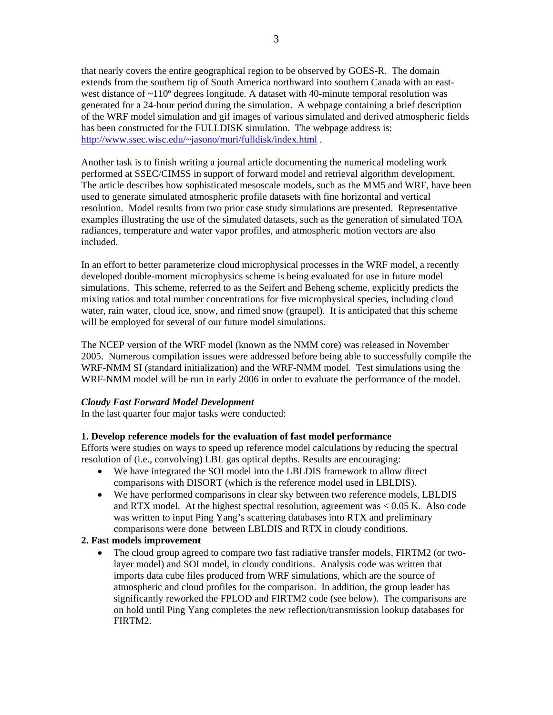that nearly covers the entire geographical region to be observed by GOES-R. The domain extends from the southern tip of South America northward into southern Canada with an eastwest distance of  $\sim$ 110 $^{\circ}$  degrees longitude. A dataset with 40-minute temporal resolution was generated for a 24-hour period during the simulation. A webpage containing a brief description of the WRF model simulation and gif images of various simulated and derived atmospheric fields has been constructed for the FULLDISK simulation. The webpage address is: http://www.ssec.wisc.edu/~jasono/muri/fulldisk/index.html .

Another task is to finish writing a journal article documenting the numerical modeling work performed at SSEC/CIMSS in support of forward model and retrieval algorithm development. The article describes how sophisticated mesoscale models, such as the MM5 and WRF, have been used to generate simulated atmospheric profile datasets with fine horizontal and vertical resolution. Model results from two prior case study simulations are presented. Representative examples illustrating the use of the simulated datasets, such as the generation of simulated TOA radiances, temperature and water vapor profiles, and atmospheric motion vectors are also included.

In an effort to better parameterize cloud microphysical processes in the WRF model, a recently developed double-moment microphysics scheme is being evaluated for use in future model simulations. This scheme, referred to as the Seifert and Beheng scheme, explicitly predicts the mixing ratios and total number concentrations for five microphysical species, including cloud water, rain water, cloud ice, snow, and rimed snow (graupel). It is anticipated that this scheme will be employed for several of our future model simulations.

The NCEP version of the WRF model (known as the NMM core) was released in November 2005. Numerous compilation issues were addressed before being able to successfully compile the WRF-NMM SI (standard initialization) and the WRF-NMM model. Test simulations using the WRF-NMM model will be run in early 2006 in order to evaluate the performance of the model.

## *Cloudy Fast Forward Model Development*

In the last quarter four major tasks were conducted:

## **1. Develop reference models for the evaluation of fast model performance**

Efforts were studies on ways to speed up reference model calculations by reducing the spectral resolution of (i.e., convolving) LBL gas optical depths. Results are encouraging:

- We have integrated the SOI model into the LBLDIS framework to allow direct comparisons with DISORT (which is the reference model used in LBLDIS).
- We have performed comparisons in clear sky between two reference models, LBLDIS and RTX model. At the highest spectral resolution, agreement was < 0.05 K. Also code was written to input Ping Yang's scattering databases into RTX and preliminary comparisons were done between LBLDIS and RTX in cloudy conditions.

### **2. Fast models improvement**

• The cloud group agreed to compare two fast radiative transfer models, FIRTM2 (or twolayer model) and SOI model, in cloudy conditions. Analysis code was written that imports data cube files produced from WRF simulations, which are the source of atmospheric and cloud profiles for the comparison. In addition, the group leader has significantly reworked the FPLOD and FIRTM2 code (see below). The comparisons are on hold until Ping Yang completes the new reflection/transmission lookup databases for FIRTM2.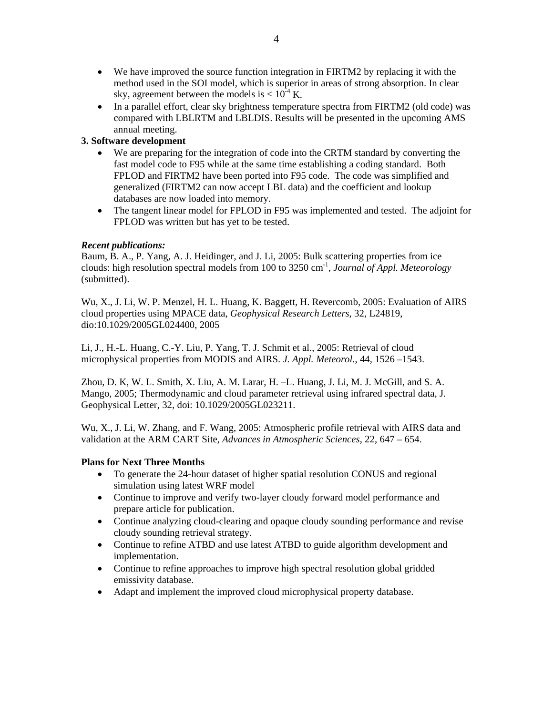- We have improved the source function integration in FIRTM2 by replacing it with the method used in the SOI model, which is superior in areas of strong absorption. In clear sky, agreement between the models is  $< 10^{-4}$  K.
- In a parallel effort, clear sky brightness temperature spectra from FIRTM2 (old code) was compared with LBLRTM and LBLDIS. Results will be presented in the upcoming AMS annual meeting.

# **3. Software development**

- We are preparing for the integration of code into the CRTM standard by converting the fast model code to F95 while at the same time establishing a coding standard. Both FPLOD and FIRTM2 have been ported into F95 code. The code was simplified and generalized (FIRTM2 can now accept LBL data) and the coefficient and lookup databases are now loaded into memory.
- The tangent linear model for FPLOD in F95 was implemented and tested. The adjoint for FPLOD was written but has yet to be tested.

## *Recent publications:*

Baum, B. A., P. Yang, A. J. Heidinger, and J. Li, 2005: Bulk scattering properties from ice clouds: high resolution spectral models from 100 to 3250 cm-1, *Journal of Appl. Meteorology*  (submitted).

Wu, X., J. Li, W. P. Menzel, H. L. Huang, K. Baggett, H. Revercomb, 2005: Evaluation of AIRS cloud properties using MPACE data, *Geophysical Research Letters*, 32, L24819, dio:10.1029/2005GL024400, 2005

Li, J., H.-L. Huang, C.-Y. Liu, P. Yang, T. J. Schmit et al., 2005: Retrieval of cloud microphysical properties from MODIS and AIRS. *J. Appl. Meteorol.*, 44, 1526 –1543.

Zhou, D. K, W. L. Smith, X. Liu, A. M. Larar, H. –L. Huang, J. Li, M. J. McGill, and S. A. Mango, 2005; Thermodynamic and cloud parameter retrieval using infrared spectral data, J. Geophysical Letter, 32, doi: 10.1029/2005GL023211.

Wu, X., J. Li, W. Zhang, and F. Wang, 2005: Atmospheric profile retrieval with AIRS data and validation at the ARM CART Site, *Advances in Atmospheric Sciences*, 22, 647 – 654.

## **Plans for Next Three Months**

- To generate the 24-hour dataset of higher spatial resolution CONUS and regional simulation using latest WRF model
- Continue to improve and verify two-layer cloudy forward model performance and prepare article for publication.
- Continue analyzing cloud-clearing and opaque cloudy sounding performance and revise cloudy sounding retrieval strategy.
- Continue to refine ATBD and use latest ATBD to guide algorithm development and implementation.
- Continue to refine approaches to improve high spectral resolution global gridded emissivity database.
- Adapt and implement the improved cloud microphysical property database.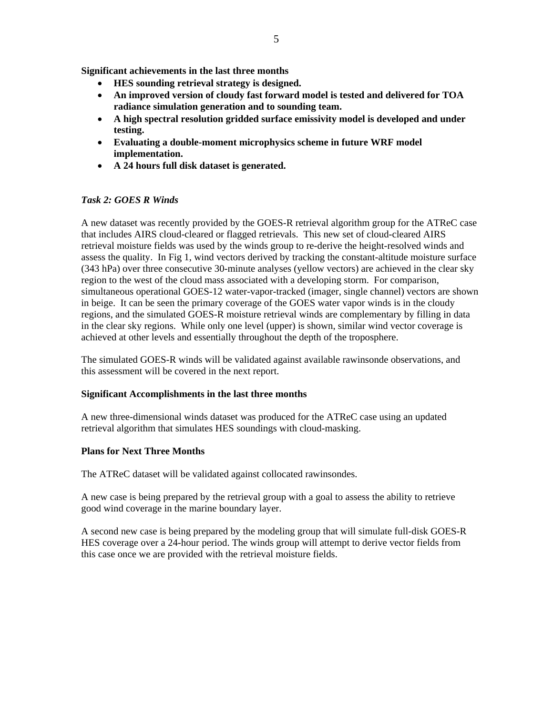**Significant achievements in the last three months** 

- **HES sounding retrieval strategy is designed.**
- **An improved version of cloudy fast forward model is tested and delivered for TOA radiance simulation generation and to sounding team.**
- **A high spectral resolution gridded surface emissivity model is developed and under testing.**
- **Evaluating a double-moment microphysics scheme in future WRF model implementation.**
- **A 24 hours full disk dataset is generated.**

## *Task 2: GOES R Winds*

A new dataset was recently provided by the GOES-R retrieval algorithm group for the ATReC case that includes AIRS cloud-cleared or flagged retrievals. This new set of cloud-cleared AIRS retrieval moisture fields was used by the winds group to re-derive the height-resolved winds and assess the quality. In Fig 1, wind vectors derived by tracking the constant-altitude moisture surface (343 hPa) over three consecutive 30-minute analyses (yellow vectors) are achieved in the clear sky region to the west of the cloud mass associated with a developing storm. For comparison, simultaneous operational GOES-12 water-vapor-tracked (imager, single channel) vectors are shown in beige. It can be seen the primary coverage of the GOES water vapor winds is in the cloudy regions, and the simulated GOES-R moisture retrieval winds are complementary by filling in data in the clear sky regions. While only one level (upper) is shown, similar wind vector coverage is achieved at other levels and essentially throughout the depth of the troposphere.

The simulated GOES-R winds will be validated against available rawinsonde observations, and this assessment will be covered in the next report.

### **Significant Accomplishments in the last three months**

A new three-dimensional winds dataset was produced for the ATReC case using an updated retrieval algorithm that simulates HES soundings with cloud-masking.

### **Plans for Next Three Months**

The ATReC dataset will be validated against collocated rawinsondes.

A new case is being prepared by the retrieval group with a goal to assess the ability to retrieve good wind coverage in the marine boundary layer.

A second new case is being prepared by the modeling group that will simulate full-disk GOES-R HES coverage over a 24-hour period. The winds group will attempt to derive vector fields from this case once we are provided with the retrieval moisture fields.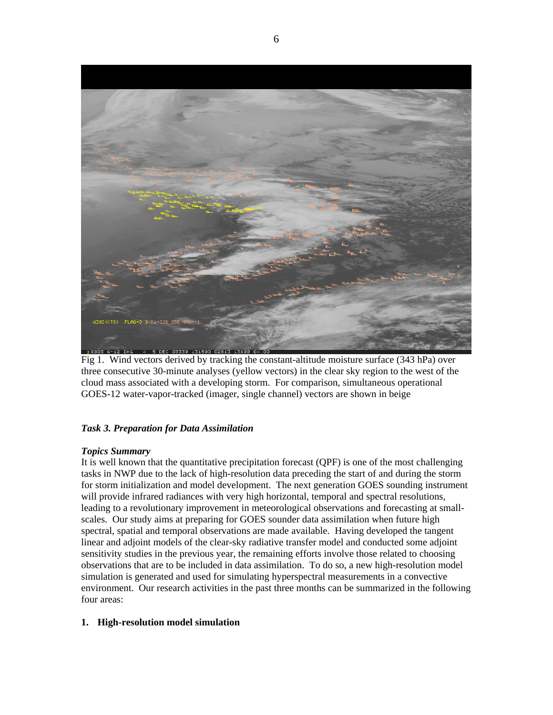

Fig 1. Wind vectors derived by tracking the constant-altitude moisture surface (343 hPa) over three consecutive 30-minute analyses (yellow vectors) in the clear sky region to the west of the cloud mass associated with a developing storm. For comparison, simultaneous operational GOES-12 water-vapor-tracked (imager, single channel) vectors are shown in beige

# *Task 3. Preparation for Data Assimilation*

## *Topics Summary*

It is well known that the quantitative precipitation forecast (QPF) is one of the most challenging tasks in NWP due to the lack of high-resolution data preceding the start of and during the storm for storm initialization and model development. The next generation GOES sounding instrument will provide infrared radiances with very high horizontal, temporal and spectral resolutions, leading to a revolutionary improvement in meteorological observations and forecasting at smallscales. Our study aims at preparing for GOES sounder data assimilation when future high spectral, spatial and temporal observations are made available. Having developed the tangent linear and adjoint models of the clear-sky radiative transfer model and conducted some adjoint sensitivity studies in the previous year, the remaining efforts involve those related to choosing observations that are to be included in data assimilation. To do so, a new high-resolution model simulation is generated and used for simulating hyperspectral measurements in a convective environment. Our research activities in the past three months can be summarized in the following four areas:

## **1. High-resolution model simulation**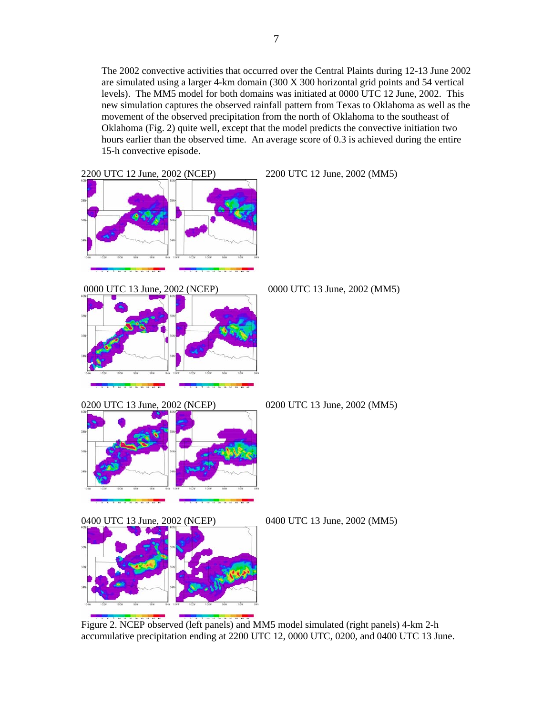The 2002 convective activities that occurred over the Central Plaints during 12-13 June 2002 are simulated using a larger 4-km domain (300 X 300 horizontal grid points and 54 vertical levels). The MM5 model for both domains was initiated at 0000 UTC 12 June, 2002. This new simulation captures the observed rainfall pattern from Texas to Oklahoma as well as the

movement of the observed precipitation from the north of Oklahoma to the southeast of Oklahoma (Fig. 2) quite well, except that the model predicts the convective initiation two hours earlier than the observed time. An average score of 0.3 is achieved during the entire 15-h convective episode.



Figure 2. NCEP observed (left panels) and MM5 model simulated (right panels) 4-km 2-h accumulative precipitation ending at 2200 UTC 12, 0000 UTC, 0200, and 0400 UTC 13 June.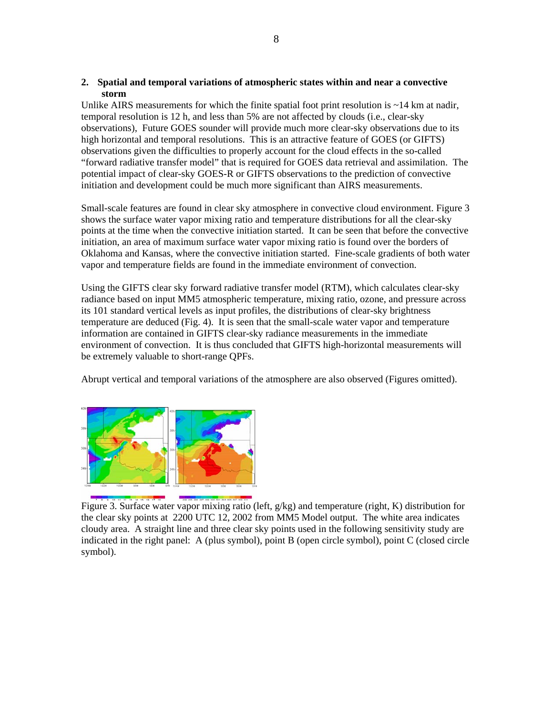### **2. Spatial and temporal variations of atmospheric states within and near a convective storm**

Unlike AIRS measurements for which the finite spatial foot print resolution is  $\sim$ 14 km at nadir, temporal resolution is 12 h, and less than 5% are not affected by clouds (i.e., clear-sky observations), Future GOES sounder will provide much more clear-sky observations due to its high horizontal and temporal resolutions. This is an attractive feature of GOES (or GIFTS) observations given the difficulties to properly account for the cloud effects in the so-called "forward radiative transfer model" that is required for GOES data retrieval and assimilation. The potential impact of clear-sky GOES-R or GIFTS observations to the prediction of convective initiation and development could be much more significant than AIRS measurements.

Small-scale features are found in clear sky atmosphere in convective cloud environment. Figure 3 shows the surface water vapor mixing ratio and temperature distributions for all the clear-sky points at the time when the convective initiation started. It can be seen that before the convective initiation, an area of maximum surface water vapor mixing ratio is found over the borders of Oklahoma and Kansas, where the convective initiation started. Fine-scale gradients of both water vapor and temperature fields are found in the immediate environment of convection.

Using the GIFTS clear sky forward radiative transfer model (RTM), which calculates clear-sky radiance based on input MM5 atmospheric temperature, mixing ratio, ozone, and pressure across its 101 standard vertical levels as input profiles, the distributions of clear-sky brightness temperature are deduced (Fig. 4). It is seen that the small-scale water vapor and temperature information are contained in GIFTS clear-sky radiance measurements in the immediate environment of convection. It is thus concluded that GIFTS high-horizontal measurements will be extremely valuable to short-range QPFs.

Abrupt vertical and temporal variations of the atmosphere are also observed (Figures omitted).



Figure 3. Surface water vapor mixing ratio (left, g/kg) and temperature (right, K) distribution for the clear sky points at 2200 UTC 12, 2002 from MM5 Model output. The white area indicates cloudy area. A straight line and three clear sky points used in the following sensitivity study are indicated in the right panel: A (plus symbol), point B (open circle symbol), point C (closed circle symbol).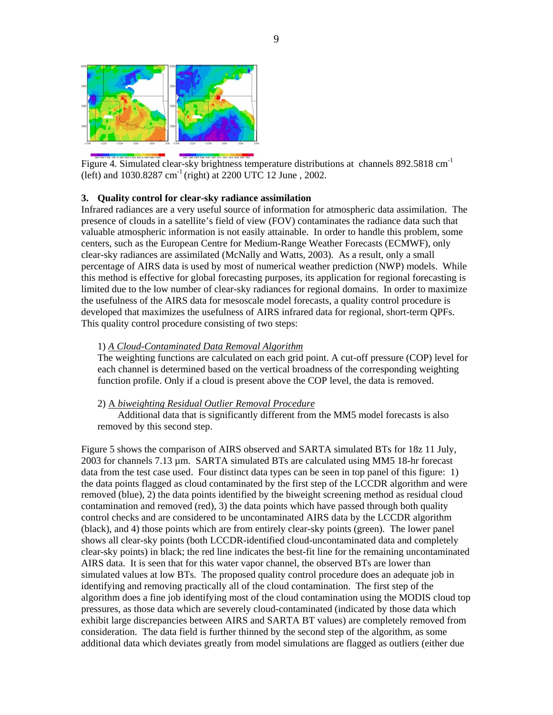

Figure 4. Simulated clear-sky brightness temperature distributions at channels 892.5818 cm<sup>-1</sup> (left) and  $1030.8287$  cm<sup>-1</sup> (right) at  $2200$  UTC 12 June,  $2002$ .

#### **3. Quality control for clear-sky radiance assimilation**

Infrared radiances are a very useful source of information for atmospheric data assimilation. The presence of clouds in a satellite's field of view (FOV) contaminates the radiance data such that valuable atmospheric information is not easily attainable. In order to handle this problem, some centers, such as the European Centre for Medium-Range Weather Forecasts (ECMWF), only clear-sky radiances are assimilated (McNally and Watts, 2003). As a result, only a small percentage of AIRS data is used by most of numerical weather prediction (NWP) models. While this method is effective for global forecasting purposes, its application for regional forecasting is limited due to the low number of clear-sky radiances for regional domains. In order to maximize the usefulness of the AIRS data for mesoscale model forecasts, a quality control procedure is developed that maximizes the usefulness of AIRS infrared data for regional, short-term QPFs. This quality control procedure consisting of two steps:

#### 1) *A Cloud-Contaminated Data Removal Algorithm*

The weighting functions are calculated on each grid point. A cut-off pressure (COP) level for each channel is determined based on the vertical broadness of the corresponding weighting function profile. Only if a cloud is present above the COP level, the data is removed.

#### 2) A *biweighting Residual Outlier Removal Procedure*

Additional data that is significantly different from the MM5 model forecasts is also removed by this second step.

Figure 5 shows the comparison of AIRS observed and SARTA simulated BTs for 18z 11 July, 2003 for channels 7.13 µm. SARTA simulated BTs are calculated using MM5 18-hr forecast data from the test case used. Four distinct data types can be seen in top panel of this figure: 1) the data points flagged as cloud contaminated by the first step of the LCCDR algorithm and were removed (blue), 2) the data points identified by the biweight screening method as residual cloud contamination and removed (red), 3) the data points which have passed through both quality control checks and are considered to be uncontaminated AIRS data by the LCCDR algorithm (black), and 4) those points which are from entirely clear-sky points (green). The lower panel shows all clear-sky points (both LCCDR-identified cloud-uncontaminated data and completely clear-sky points) in black; the red line indicates the best-fit line for the remaining uncontaminated AIRS data. It is seen that for this water vapor channel, the observed BTs are lower than simulated values at low BTs. The proposed quality control procedure does an adequate job in identifying and removing practically all of the cloud contamination. The first step of the algorithm does a fine job identifying most of the cloud contamination using the MODIS cloud top pressures, as those data which are severely cloud-contaminated (indicated by those data which exhibit large discrepancies between AIRS and SARTA BT values) are completely removed from consideration. The data field is further thinned by the second step of the algorithm, as some additional data which deviates greatly from model simulations are flagged as outliers (either due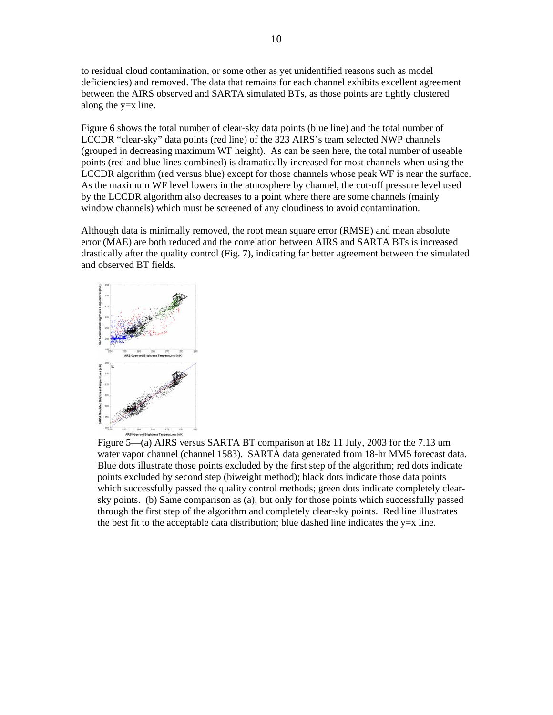to residual cloud contamination, or some other as yet unidentified reasons such as model deficiencies) and removed. The data that remains for each channel exhibits excellent agreement between the AIRS observed and SARTA simulated BTs, as those points are tightly clustered along the y=x line.

Figure 6 shows the total number of clear-sky data points (blue line) and the total number of LCCDR "clear-sky" data points (red line) of the 323 AIRS's team selected NWP channels (grouped in decreasing maximum WF height). As can be seen here, the total number of useable points (red and blue lines combined) is dramatically increased for most channels when using the LCCDR algorithm (red versus blue) except for those channels whose peak WF is near the surface. As the maximum WF level lowers in the atmosphere by channel, the cut-off pressure level used by the LCCDR algorithm also decreases to a point where there are some channels (mainly window channels) which must be screened of any cloudiness to avoid contamination.

Although data is minimally removed, the root mean square error (RMSE) and mean absolute error (MAE) are both reduced and the correlation between AIRS and SARTA BTs is increased drastically after the quality control (Fig. 7), indicating far better agreement between the simulated and observed BT fields.



Figure 5—(a) AIRS versus SARTA BT comparison at 18z 11 July, 2003 for the 7.13 um water vapor channel (channel 1583). SARTA data generated from 18-hr MM5 forecast data. Blue dots illustrate those points excluded by the first step of the algorithm; red dots indicate points excluded by second step (biweight method); black dots indicate those data points which successfully passed the quality control methods; green dots indicate completely clearsky points. (b) Same comparison as (a), but only for those points which successfully passed through the first step of the algorithm and completely clear-sky points. Red line illustrates the best fit to the acceptable data distribution; blue dashed line indicates the  $y=x$  line.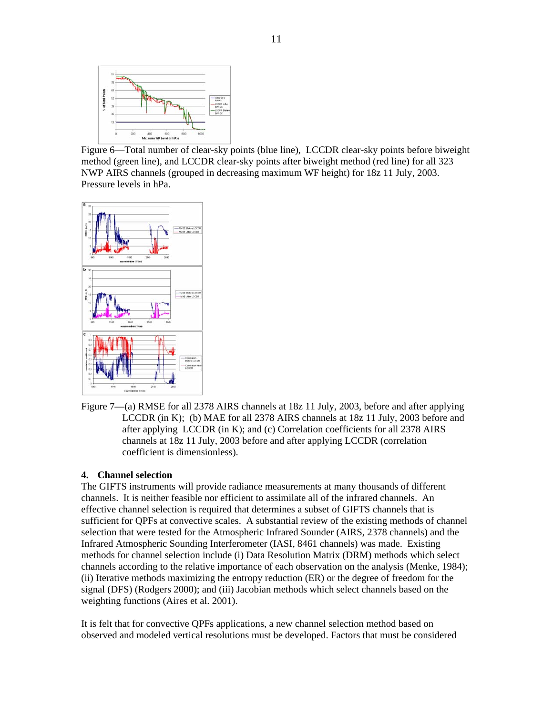

Figure 6—Total number of clear-sky points (blue line), LCCDR clear-sky points before biweight method (green line), and LCCDR clear-sky points after biweight method (red line) for all 323 NWP AIRS channels (grouped in decreasing maximum WF height) for 18z 11 July, 2003. Pressure levels in hPa.



Figure 7—(a) RMSE for all 2378 AIRS channels at 18z 11 July, 2003, before and after applying LCCDR (in K); (b) MAE for all 2378 AIRS channels at 18z 11 July, 2003 before and after applying LCCDR (in K); and (c) Correlation coefficients for all 2378 AIRS channels at 18z 11 July, 2003 before and after applying LCCDR (correlation coefficient is dimensionless).

### **4. Channel selection**

The GIFTS instruments will provide radiance measurements at many thousands of different channels. It is neither feasible nor efficient to assimilate all of the infrared channels. An effective channel selection is required that determines a subset of GIFTS channels that is sufficient for QPFs at convective scales. A substantial review of the existing methods of channel selection that were tested for the Atmospheric Infrared Sounder (AIRS, 2378 channels) and the Infrared Atmospheric Sounding Interferometer (IASI, 8461 channels) was made. Existing methods for channel selection include (i) Data Resolution Matrix (DRM) methods which select channels according to the relative importance of each observation on the analysis (Menke, 1984); (ii) Iterative methods maximizing the entropy reduction (ER) or the degree of freedom for the signal (DFS) (Rodgers 2000); and (iii) Jacobian methods which select channels based on the weighting functions (Aires et al. 2001).

It is felt that for convective QPFs applications, a new channel selection method based on observed and modeled vertical resolutions must be developed. Factors that must be considered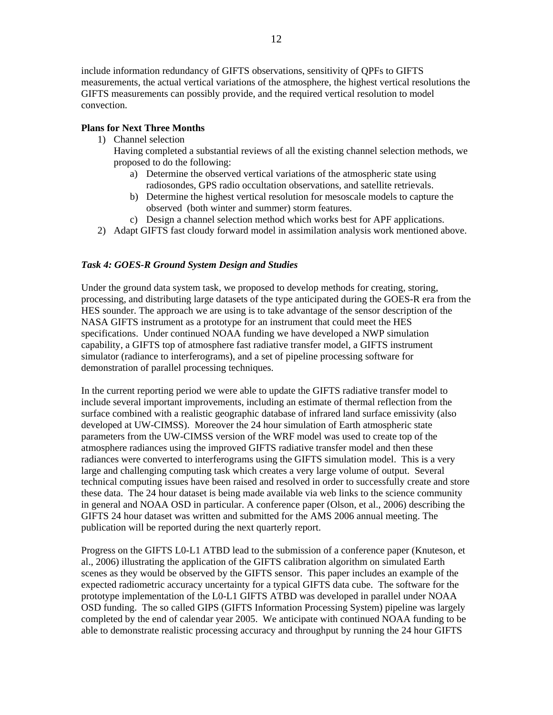include information redundancy of GIFTS observations, sensitivity of QPFs to GIFTS measurements, the actual vertical variations of the atmosphere, the highest vertical resolutions the GIFTS measurements can possibly provide, and the required vertical resolution to model convection.

## **Plans for Next Three Months**

1) Channel selection

Having completed a substantial reviews of all the existing channel selection methods, we proposed to do the following:

- a) Determine the observed vertical variations of the atmospheric state using radiosondes, GPS radio occultation observations, and satellite retrievals.
- b) Determine the highest vertical resolution for mesoscale models to capture the observed (both winter and summer) storm features.
- c) Design a channel selection method which works best for APF applications.
- 2) Adapt GIFTS fast cloudy forward model in assimilation analysis work mentioned above.

## *Task 4: GOES-R Ground System Design and Studies*

Under the ground data system task, we proposed to develop methods for creating, storing, processing, and distributing large datasets of the type anticipated during the GOES-R era from the HES sounder. The approach we are using is to take advantage of the sensor description of the NASA GIFTS instrument as a prototype for an instrument that could meet the HES specifications. Under continued NOAA funding we have developed a NWP simulation capability, a GIFTS top of atmosphere fast radiative transfer model, a GIFTS instrument simulator (radiance to interferograms), and a set of pipeline processing software for demonstration of parallel processing techniques.

In the current reporting period we were able to update the GIFTS radiative transfer model to include several important improvements, including an estimate of thermal reflection from the surface combined with a realistic geographic database of infrared land surface emissivity (also developed at UW-CIMSS). Moreover the 24 hour simulation of Earth atmospheric state parameters from the UW-CIMSS version of the WRF model was used to create top of the atmosphere radiances using the improved GIFTS radiative transfer model and then these radiances were converted to interferograms using the GIFTS simulation model. This is a very large and challenging computing task which creates a very large volume of output. Several technical computing issues have been raised and resolved in order to successfully create and store these data. The 24 hour dataset is being made available via web links to the science community in general and NOAA OSD in particular. A conference paper (Olson, et al., 2006) describing the GIFTS 24 hour dataset was written and submitted for the AMS 2006 annual meeting. The publication will be reported during the next quarterly report.

Progress on the GIFTS L0-L1 ATBD lead to the submission of a conference paper (Knuteson, et al., 2006) illustrating the application of the GIFTS calibration algorithm on simulated Earth scenes as they would be observed by the GIFTS sensor. This paper includes an example of the expected radiometric accuracy uncertainty for a typical GIFTS data cube. The software for the prototype implementation of the L0-L1 GIFTS ATBD was developed in parallel under NOAA OSD funding. The so called GIPS (GIFTS Information Processing System) pipeline was largely completed by the end of calendar year 2005. We anticipate with continued NOAA funding to be able to demonstrate realistic processing accuracy and throughput by running the 24 hour GIFTS